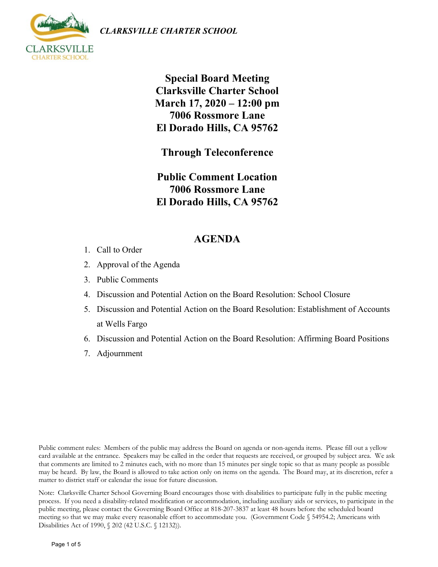*CLARKSVILLE CHARTER SCHOOL*



**Special Board Meeting Clarksville Charter School March 17, 2020 – 12:00 pm 7006 Rossmore Lane El Dorado Hills, CA 95762**

**Through Teleconference** 

**Public Comment Location 7006 Rossmore Lane El Dorado Hills, CA 95762**

# **AGENDA**

- 1. Call to Order
- 2. Approval of the Agenda
- 3. Public Comments
- 4. Discussion and Potential Action on the Board Resolution: School Closure
- 5. Discussion and Potential Action on the Board Resolution: Establishment of Accounts at Wells Fargo
- 6. Discussion and Potential Action on the Board Resolution: Affirming Board Positions
- 7. Adjournment

Public comment rules: Members of the public may address the Board on agenda or non-agenda items. Please fill out a yellow card available at the entrance. Speakers may be called in the order that requests are received, or grouped by subject area. We ask that comments are limited to 2 minutes each, with no more than 15 minutes per single topic so that as many people as possible may be heard. By law, the Board is allowed to take action only on items on the agenda. The Board may, at its discretion, refer a matter to district staff or calendar the issue for future discussion.

Note: Clarksville Charter School Governing Board encourages those with disabilities to participate fully in the public meeting process. If you need a disability-related modification or accommodation, including auxiliary aids or services, to participate in the public meeting, please contact the Governing Board Office at 818-207-3837 at least 48 hours before the scheduled board meeting so that we may make every reasonable effort to accommodate you. (Government Code § 54954.2; Americans with Disabilities Act of 1990, § 202 (42 U.S.C. § 12132)).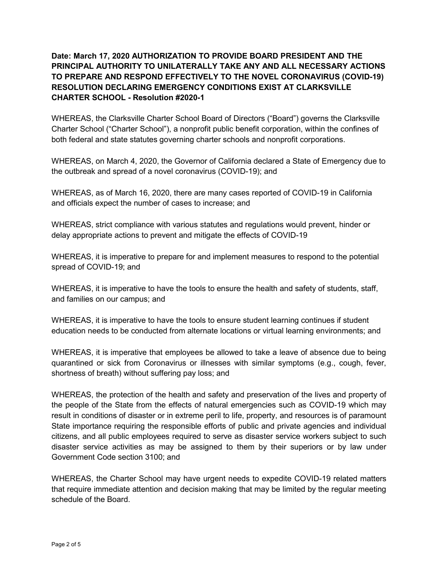# **Date: March 17, 2020 AUTHORIZATION TO PROVIDE BOARD PRESIDENT AND THE PRINCIPAL AUTHORITY TO UNILATERALLY TAKE ANY AND ALL NECESSARY ACTIONS TO PREPARE AND RESPOND EFFECTIVELY TO THE NOVEL CORONAVIRUS (COVID-19) RESOLUTION DECLARING EMERGENCY CONDITIONS EXIST AT CLARKSVILLE CHARTER SCHOOL - Resolution #2020-1**

WHEREAS, the Clarksville Charter School Board of Directors ("Board") governs the Clarksville Charter School ("Charter School"), a nonprofit public benefit corporation, within the confines of both federal and state statutes governing charter schools and nonprofit corporations.

WHEREAS, on March 4, 2020, the Governor of California declared a State of Emergency due to the outbreak and spread of a novel coronavirus (COVID-19); and

WHEREAS, as of March 16, 2020, there are many cases reported of COVID-19 in California and officials expect the number of cases to increase; and

WHEREAS, strict compliance with various statutes and regulations would prevent, hinder or delay appropriate actions to prevent and mitigate the effects of COVID-19

WHEREAS, it is imperative to prepare for and implement measures to respond to the potential spread of COVID-19; and

WHEREAS, it is imperative to have the tools to ensure the health and safety of students, staff, and families on our campus; and

WHEREAS, it is imperative to have the tools to ensure student learning continues if student education needs to be conducted from alternate locations or virtual learning environments; and

WHEREAS, it is imperative that employees be allowed to take a leave of absence due to being quarantined or sick from Coronavirus or illnesses with similar symptoms (e.g., cough, fever, shortness of breath) without suffering pay loss; and

WHEREAS, the protection of the health and safety and preservation of the lives and property of the people of the State from the effects of natural emergencies such as COVID-19 which may result in conditions of disaster or in extreme peril to life, property, and resources is of paramount State importance requiring the responsible efforts of public and private agencies and individual citizens, and all public employees required to serve as disaster service workers subject to such disaster service activities as may be assigned to them by their superiors or by law under Government Code section 3100; and

WHEREAS, the Charter School may have urgent needs to expedite COVID-19 related matters that require immediate attention and decision making that may be limited by the regular meeting schedule of the Board.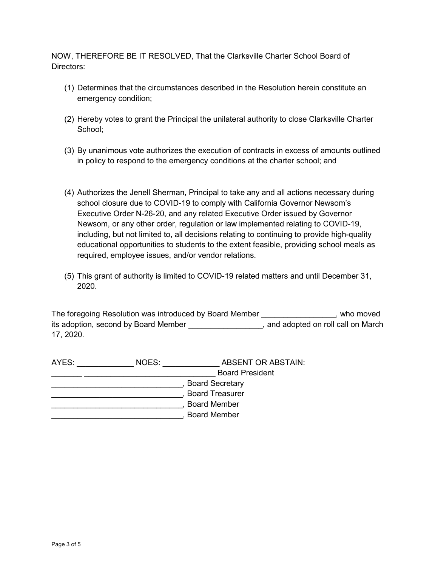NOW, THEREFORE BE IT RESOLVED, That the Clarksville Charter School Board of Directors:

- (1) Determines that the circumstances described in the Resolution herein constitute an emergency condition;
- (2) Hereby votes to grant the Principal the unilateral authority to close Clarksville Charter School;
- (3) By unanimous vote authorizes the execution of contracts in excess of amounts outlined in policy to respond to the emergency conditions at the charter school; and
- (4) Authorizes the Jenell Sherman, Principal to take any and all actions necessary during school closure due to COVID-19 to comply with California Governor Newsom's Executive Order N-26-20, and any related Executive Order issued by Governor Newsom, or any other order, regulation or law implemented relating to COVID-19, including, but not limited to, all decisions relating to continuing to provide high-quality educational opportunities to students to the extent feasible, providing school meals as required, employee issues, and/or vendor relations.
- (5) This grant of authority is limited to COVID-19 related matters and until December 31, 2020.

The foregoing Resolution was introduced by Board Member \_\_\_\_\_\_\_\_\_\_\_\_\_\_\_\_, who moved its adoption, second by Board Member **and an adopted on roll call on March** 17, 2020.

| AYES:                  | NOES:                  | ABSENT OR ABSTAIN:     |  |
|------------------------|------------------------|------------------------|--|
|                        |                        | <b>Board President</b> |  |
| <b>Board Secretary</b> |                        |                        |  |
|                        | <b>Board Treasurer</b> |                        |  |
|                        |                        | <b>Board Member</b>    |  |
|                        |                        | <b>Board Member</b>    |  |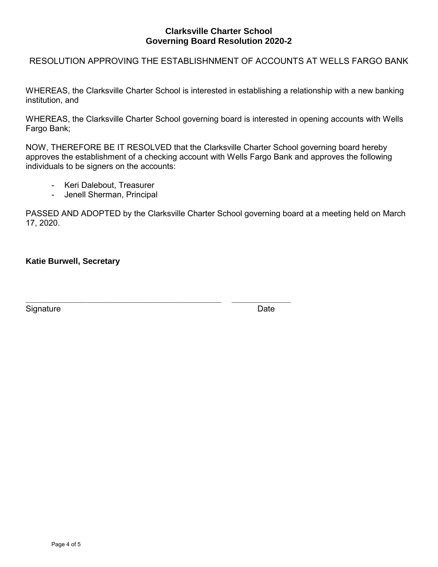### **Clarksville Charter School Governing Board Resolution 2020-2**

#### RESOLUTION APPROVING THE ESTABLISHNMENT OF ACCOUNTS AT WELLS FARGO BANK

WHEREAS, the Clarksville Charter School is interested in establishing a relationship with a new banking institution, and

WHEREAS, the Clarksville Charter School governing board is interested in opening accounts with Wells Fargo Bank;

NOW, THEREFORE BE IT RESOLVED that the Clarksville Charter School governing board hereby approves the establishment of a checking account with Wells Fargo Bank and approves the following individuals to be signers on the accounts:

- Keri Dalebout, Treasurer
- Jenell Sherman, Principal

**\_\_\_\_\_\_\_\_\_\_\_\_\_\_\_\_\_\_\_\_\_\_\_\_\_\_\_\_\_\_\_\_\_\_\_\_\_\_\_\_\_\_\_ \_\_\_\_\_\_\_\_\_\_\_\_\_**

PASSED AND ADOPTED by the Clarksville Charter School governing board at a meeting held on March 17, 2020.

**Katie Burwell, Secretary**

Signature Date Date Contract and Contract and Contract and Contract and Contract and Contract and Contract and Contract and Contract and Contract and Contract and Contract and Contract and Contract and Contract and Contrac